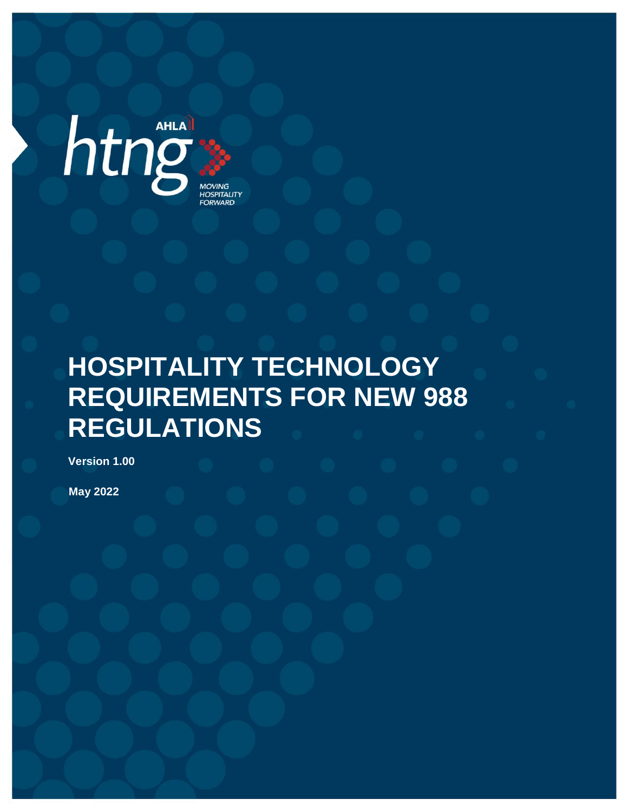

# **HOSPITALITY TECHNOLOGY REQUIREMENTS FOR NEW 988 REGULATIONS**

**Version 1.00**

**May 2022**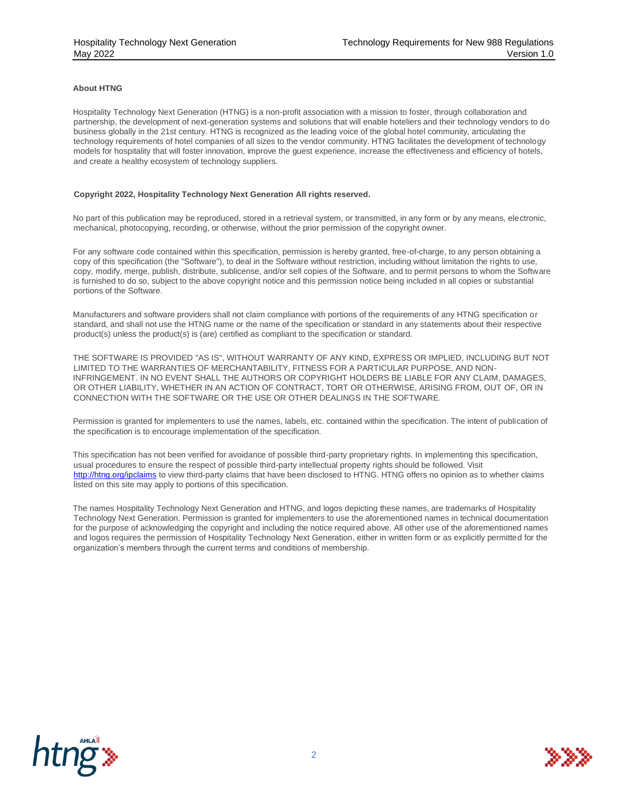#### **About HTNG**

Hospitality Technology Next Generation (HTNG) is a non-profit association with a mission to foster, through collaboration and partnership, the development of next-generation systems and solutions that will enable hoteliers and their technology vendors to do business globally in the 21st century. HTNG is recognized as the leading voice of the global hotel community, articulating the technology requirements of hotel companies of all sizes to the vendor community. HTNG facilitates the development of technology models for hospitality that will foster innovation, improve the guest experience, increase the effectiveness and efficiency of hotels, and create a healthy ecosystem of technology suppliers.

#### **Copyright 2022, Hospitality Technology Next Generation All rights reserved.**

No part of this publication may be reproduced, stored in a retrieval system, or transmitted, in any form or by any means, electronic, mechanical, photocopying, recording, or otherwise, without the prior permission of the copyright owner.

For any software code contained within this specification, permission is hereby granted, free-of-charge, to any person obtaining a copy of this specification (the "Software"), to deal in the Software without restriction, including without limitation the rights to use, copy, modify, merge, publish, distribute, sublicense, and/or sell copies of the Software, and to permit persons to whom the Software is furnished to do so, subject to the above copyright notice and this permission notice being included in all copies or substantial portions of the Software.

Manufacturers and software providers shall not claim compliance with portions of the requirements of any HTNG specification or standard, and shall not use the HTNG name or the name of the specification or standard in any statements about their respective product(s) unless the product(s) is (are) certified as compliant to the specification or standard.

THE SOFTWARE IS PROVIDED "AS IS", WITHOUT WARRANTY OF ANY KIND, EXPRESS OR IMPLIED, INCLUDING BUT NOT LIMITED TO THE WARRANTIES OF MERCHANTABILITY, FITNESS FOR A PARTICULAR PURPOSE, AND NON-INFRINGEMENT. IN NO EVENT SHALL THE AUTHORS OR COPYRIGHT HOLDERS BE LIABLE FOR ANY CLAIM, DAMAGES, OR OTHER LIABILITY, WHETHER IN AN ACTION OF CONTRACT, TORT OR OTHERWISE, ARISING FROM, OUT OF, OR IN CONNECTION WITH THE SOFTWARE OR THE USE OR OTHER DEALINGS IN THE SOFTWARE.

Permission is granted for implementers to use the names, labels, etc. contained within the specification. The intent of publication of the specification is to encourage implementation of the specification.

This specification has not been verified for avoidance of possible third-party proprietary rights. In implementing this specification, usual procedures to ensure the respect of possible third-party intellectual property rights should be followed. Vi[sit](http://htng.org/ip-claims)  [http://htng.org/ipclaims](http://htng.org/ip-claims) to view third-party claims that have been disclosed to HTNG. HTNG offers no opinion as to whether claims listed on this site may apply to portions of this specification.

The names Hospitality Technology Next Generation and HTNG, and logos depicting these names, are trademarks of Hospitality Technology Next Generation. Permission is granted for implementers to use the aforementioned names in technical documentation for the purpose of acknowledging the copyright and including the notice required above. All other use of the aforementioned names and logos requires the permission of Hospitality Technology Next Generation, either in written form or as explicitly permitted for the organization's members through the current terms and conditions of membership.



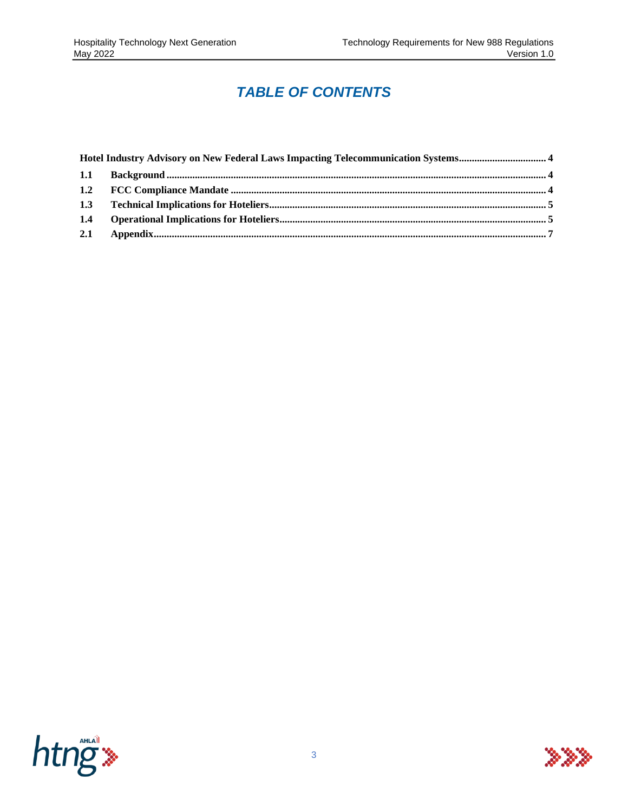### *TABLE OF CONTENTS*



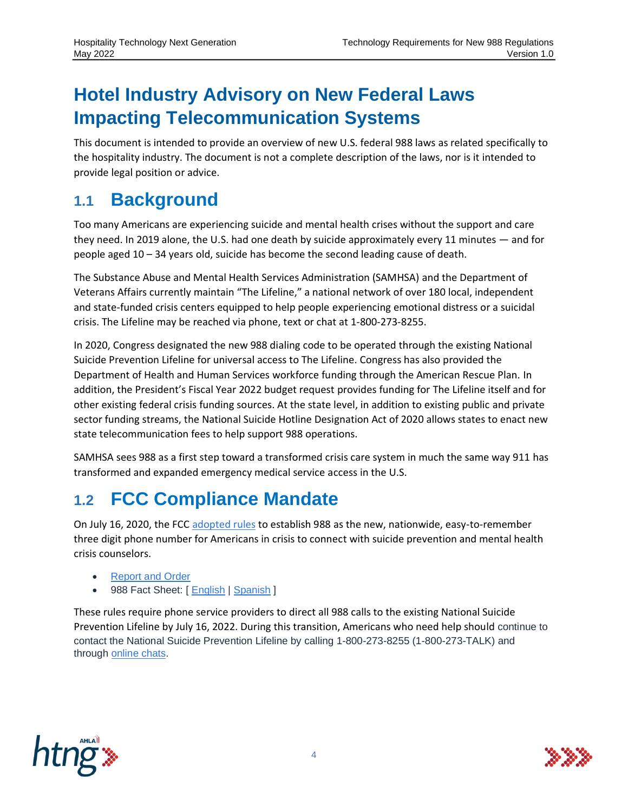## <span id="page-3-0"></span>**Hotel Industry Advisory on New Federal Laws Impacting Telecommunication Systems**

This document is intended to provide an overview of new U.S. federal 988 laws as related specifically to the hospitality industry. The document is not a complete description of the laws, nor is it intended to provide legal position or advice.

### <span id="page-3-1"></span>**1.1 Background**

Too many Americans are experiencing suicide and mental health crises without the support and care they need. In 2019 alone, the U.S. had one death by suicide approximately every 11 minutes — and for people aged 10 – 34 years old, suicide has become the second leading cause of death.

The Substance Abuse and Mental Health Services Administration (SAMHSA) and the Department of Veterans Affairs currently maintain "The Lifeline," a national network of over 180 local, independent and state-funded crisis centers equipped to help people experiencing emotional distress or a suicidal crisis. The Lifeline may be reached via phone, text or chat at 1-800-273-8255.

In 2020, Congress designated the new 988 dialing code to be operated through the existing National Suicide Prevention Lifeline for universal access to The Lifeline. Congress has also provided the Department of Health and Human Services workforce funding through the American Rescue Plan. In addition, the President's Fiscal Year 2022 budget request provides funding for The Lifeline itself and for other existing federal crisis funding sources. At the state level, in addition to existing public and private sector funding streams, the National Suicide Hotline Designation Act of 2020 allows states to enact new state telecommunication fees to help support 988 operations.

SAMHSA sees 988 as a first step toward a transformed crisis care system in much the same way 911 has transformed and expanded emergency medical service access in the U.S.

## <span id="page-3-2"></span>**1.2 FCC Compliance Mandate**

On July 16, 2020, the FCC [adopted rules](https://www.fcc.gov/document/designating-988-national-suicide-prevention-lifeline-0) to establish 988 as the new, nationwide, easy-to-remember three digit phone number for Americans in crisis to connect with suicide prevention and mental health crisis counselors.

- [Report and Order](https://www.fcc.gov/document/designating-988-national-suicide-prevention-lifeline-0)
- 988 Fact Sheet: [[English](https://www.fcc.gov/sites/default/files/988-fact-sheet.pdf) | [Spanish](https://www.fcc.gov/sites/default/files/988-fact-sheet-spanish.pdf) ]

These rules require phone service providers to direct all 988 calls to the existing National Suicide Prevention Lifeline by July 16, 2022. During this transition, Americans who need help should continue to contact the National Suicide Prevention Lifeline by calling 1-800-273-8255 (1-800-273-TALK) and through [online chats.](https://suicidepreventionlifeline.org/chat/)



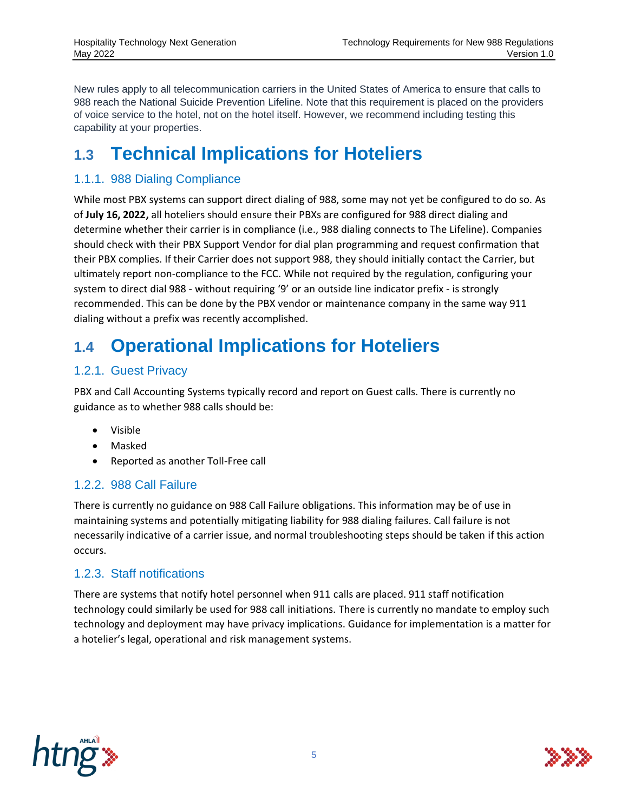New rules apply to all telecommunication carriers in the United States of America to ensure that calls to 988 reach the National Suicide Prevention Lifeline. Note that this requirement is placed on the providers of voice service to the hotel, not on the hotel itself. However, we recommend including testing this capability at your properties.

## <span id="page-4-0"></span>**1.3 Technical Implications for Hoteliers**

### 1.1.1. 988 Dialing Compliance

While most PBX systems can support direct dialing of 988, some may not yet be configured to do so. As of **July 16, 2022,** all hoteliers should ensure their PBXs are configured for 988 direct dialing and determine whether their carrier is in compliance (i.e., 988 dialing connects to The Lifeline). Companies should check with their PBX Support Vendor for dial plan programming and request confirmation that their PBX complies. If their Carrier does not support 988, they should initially contact the Carrier, but ultimately report non-compliance to the FCC. While not required by the regulation, configuring your system to direct dial 988 - without requiring '9' or an outside line indicator prefix - is strongly recommended. This can be done by the PBX vendor or maintenance company in the same way 911 dialing without a prefix was recently accomplished.

## <span id="page-4-1"></span>**1.4 Operational Implications for Hoteliers**

### 1.2.1. Guest Privacy

PBX and Call Accounting Systems typically record and report on Guest calls. There is currently no guidance as to whether 988 calls should be:

- Visible
- Masked
- Reported as another Toll-Free call

#### 1.2.2. 988 Call Failure

There is currently no guidance on 988 Call Failure obligations. This information may be of use in maintaining systems and potentially mitigating liability for 988 dialing failures. Call failure is not necessarily indicative of a carrier issue, and normal troubleshooting steps should be taken if this action occurs.

#### 1.2.3. Staff notifications

There are systems that notify hotel personnel when 911 calls are placed. 911 staff notification technology could similarly be used for 988 call initiations. There is currently no mandate to employ such technology and deployment may have privacy implications. Guidance for implementation is a matter for a hotelier's legal, operational and risk management systems.



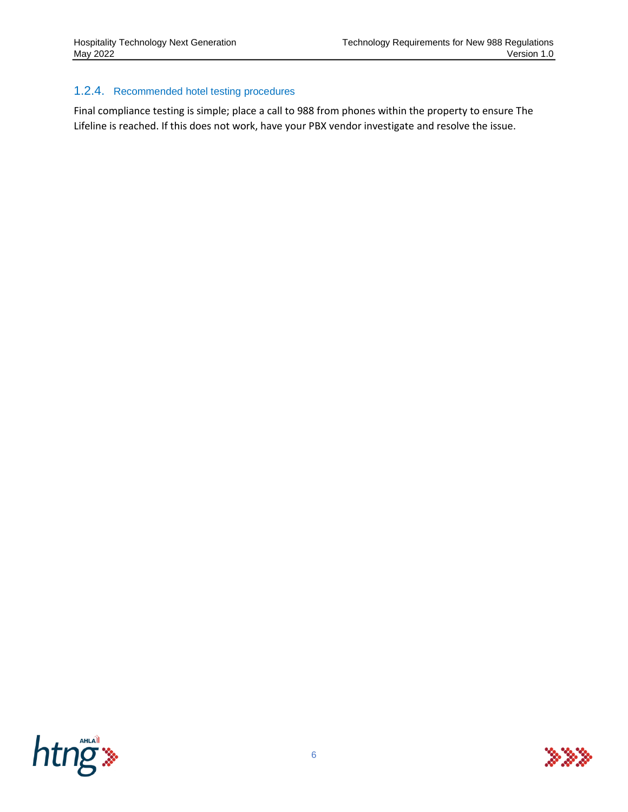#### 1.2.4. Recommended hotel testing procedures

Final compliance testing is simple; place a call to 988 from phones within the property to ensure The Lifeline is reached. If this does not work, have your PBX vendor investigate and resolve the issue.